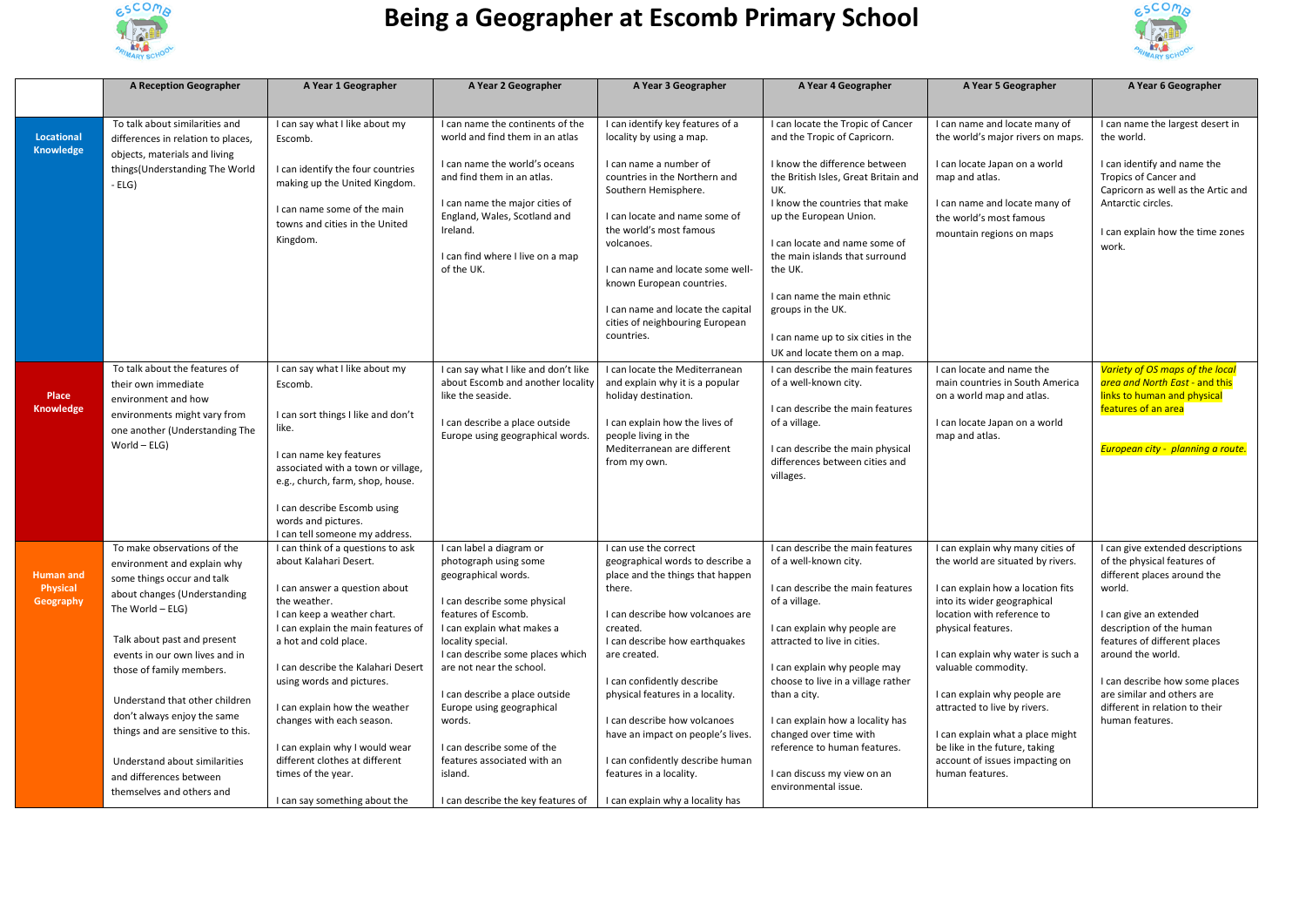

## **Being a Geographer at Escomb Primary School**



|                                     | <b>A Reception Geographer</b>                                                                                                                 | A Year 1 Geographer                                                                                        | A Year 2 Geographer                                                                                                                                                  | A Year 3 Geographer                                                                                                                                 | A Year 4 Geographer                                                                                            | A Year 5 Geographer                                                                                                                          | A Year 6 Geographer                                                                                                     |
|-------------------------------------|-----------------------------------------------------------------------------------------------------------------------------------------------|------------------------------------------------------------------------------------------------------------|----------------------------------------------------------------------------------------------------------------------------------------------------------------------|-----------------------------------------------------------------------------------------------------------------------------------------------------|----------------------------------------------------------------------------------------------------------------|----------------------------------------------------------------------------------------------------------------------------------------------|-------------------------------------------------------------------------------------------------------------------------|
|                                     |                                                                                                                                               |                                                                                                            |                                                                                                                                                                      |                                                                                                                                                     |                                                                                                                |                                                                                                                                              |                                                                                                                         |
| <b>Locational</b><br>Knowledge      | To talk about similarities and<br>differences in relation to places,                                                                          | I can say what I like about my<br>Escomb.                                                                  | I can name the continents of the<br>world and find them in an atlas                                                                                                  | I can identify key features of a<br>locality by using a map.                                                                                        | I can locate the Tropic of Cancer<br>and the Tropic of Capricorn.                                              | I can name and locate many of<br>the world's major rivers on maps.                                                                           | I can name the largest desert in<br>the world.                                                                          |
|                                     | objects, materials and living<br>things (Understanding The World<br>$-ELG$ )                                                                  | I can identify the four countries<br>making up the United Kingdom.                                         | I can name the world's oceans<br>and find them in an atlas.                                                                                                          | I can name a number of<br>countries in the Northern and<br>Southern Hemisphere.                                                                     | I know the difference between<br>the British Isles, Great Britain and<br>UK.                                   | I can locate Japan on a world<br>map and atlas.                                                                                              | I can identify and name the<br>Tropics of Cancer and<br>Capricorn as well as the Artic and                              |
|                                     |                                                                                                                                               | I can name some of the main<br>towns and cities in the United<br>Kingdom.                                  | I can name the major cities of<br>England, Wales, Scotland and<br>Ireland.                                                                                           | I can locate and name some of<br>the world's most famous<br>volcanoes.                                                                              | I know the countries that make<br>up the European Union.<br>I can locate and name some of                      | I can name and locate many of<br>the world's most famous<br>mountain regions on maps                                                         | Antarctic circles.<br>I can explain how the time zones<br>work.                                                         |
|                                     |                                                                                                                                               |                                                                                                            | I can find where I live on a map<br>of the UK.                                                                                                                       | I can name and locate some well-<br>known European countries.                                                                                       | the main islands that surround<br>the UK.<br>I can name the main ethnic                                        |                                                                                                                                              |                                                                                                                         |
|                                     |                                                                                                                                               |                                                                                                            |                                                                                                                                                                      | I can name and locate the capital<br>cities of neighbouring European<br>countries.                                                                  | groups in the UK.<br>I can name up to six cities in the                                                        |                                                                                                                                              |                                                                                                                         |
|                                     |                                                                                                                                               |                                                                                                            |                                                                                                                                                                      |                                                                                                                                                     | UK and locate them on a map.                                                                                   |                                                                                                                                              |                                                                                                                         |
| Place<br>Knowledge                  | To talk about the features of<br>their own immediate<br>environment and how<br>environments might vary from<br>one another (Understanding The | I can say what I like about my<br>Escomb.<br>I can sort things I like and don't<br>like.                   | I can say what I like and don't like<br>about Escomb and another locality<br>like the seaside.<br>I can describe a place outside<br>Europe using geographical words. | I can locate the Mediterranean<br>and explain why it is a popular<br>holiday destination.<br>I can explain how the lives of<br>people living in the | I can describe the main features<br>of a well-known city.<br>I can describe the main features<br>of a village. | I can locate and name the<br>main countries in South America<br>on a world map and atlas.<br>I can locate Japan on a world<br>map and atlas. | Variety of OS maps of the local<br>area and North East - and this<br>links to human and physical<br>features of an area |
|                                     | $World - ELG)$                                                                                                                                | I can name key features<br>associated with a town or village,<br>e.g., church, farm, shop, house.          |                                                                                                                                                                      | Mediterranean are different<br>from my own.                                                                                                         | I can describe the main physical<br>differences between cities and<br>villages.                                |                                                                                                                                              | European city - planning a route.                                                                                       |
|                                     |                                                                                                                                               | I can describe Escomb using<br>words and pictures.<br>I can tell someone my address.                       |                                                                                                                                                                      |                                                                                                                                                     |                                                                                                                |                                                                                                                                              |                                                                                                                         |
| <b>Human and</b><br><b>Physical</b> | To make observations of the<br>environment and explain why<br>some things occur and talk<br>about changes (Understanding                      | I can think of a questions to ask<br>about Kalahari Desert.<br>I can answer a question about               | I can label a diagram or<br>photograph using some<br>geographical words.                                                                                             | I can use the correct<br>geographical words to describe a<br>place and the things that happen<br>there.                                             | I can describe the main features<br>of a well-known city.<br>I can describe the main features                  | I can explain why many cities of<br>the world are situated by rivers.<br>I can explain how a location fits                                   | I can give extended descriptions<br>of the physical features of<br>different places around the<br>world.                |
| Geography                           | The World - ELG)<br>Talk about past and present                                                                                               | the weather.<br>I can keep a weather chart.<br>I can explain the main features of<br>a hot and cold place. | I can describe some physical<br>features of Escomb.<br>I can explain what makes a<br>locality special.                                                               | I can describe how volcanoes are<br>created.<br>I can describe how earthquakes                                                                      | of a village.<br>I can explain why people are<br>attracted to live in cities.                                  | into its wider geographical<br>location with reference to<br>physical features.                                                              | I can give an extended<br>description of the human<br>features of different places                                      |
|                                     | events in our own lives and in<br>those of family members.                                                                                    | I can describe the Kalahari Desert<br>using words and pictures.                                            | I can describe some places which<br>are not near the school.                                                                                                         | are created.<br>I can confidently describe                                                                                                          | I can explain why people may<br>choose to live in a village rather                                             | I can explain why water is such a<br>valuable commodity.                                                                                     | around the world.<br>I can describe how some places                                                                     |
|                                     | Understand that other children<br>don't always enjoy the same<br>things and are sensitive to this.                                            | I can explain how the weather<br>changes with each season.                                                 | I can describe a place outside<br>Europe using geographical<br>words.                                                                                                | physical features in a locality.<br>I can describe how volcanoes<br>have an impact on people's lives.                                               | than a city.<br>I can explain how a locality has<br>changed over time with                                     | I can explain why people are<br>attracted to live by rivers.<br>I can explain what a place might                                             | are similar and others are<br>different in relation to their<br>human features.                                         |
|                                     | Understand about similarities<br>and differences between                                                                                      | I can explain why I would wear<br>different clothes at different<br>times of the year.                     | I can describe some of the<br>features associated with an<br>island.                                                                                                 | I can confidently describe human<br>features in a locality.                                                                                         | reference to human features.<br>I can discuss my view on an                                                    | be like in the future, taking<br>account of issues impacting on<br>human features.                                                           |                                                                                                                         |
|                                     | themselves and others and                                                                                                                     | I can say something about the                                                                              | I can describe the key features of                                                                                                                                   | I can explain why a locality has                                                                                                                    | environmental issue.                                                                                           |                                                                                                                                              |                                                                                                                         |